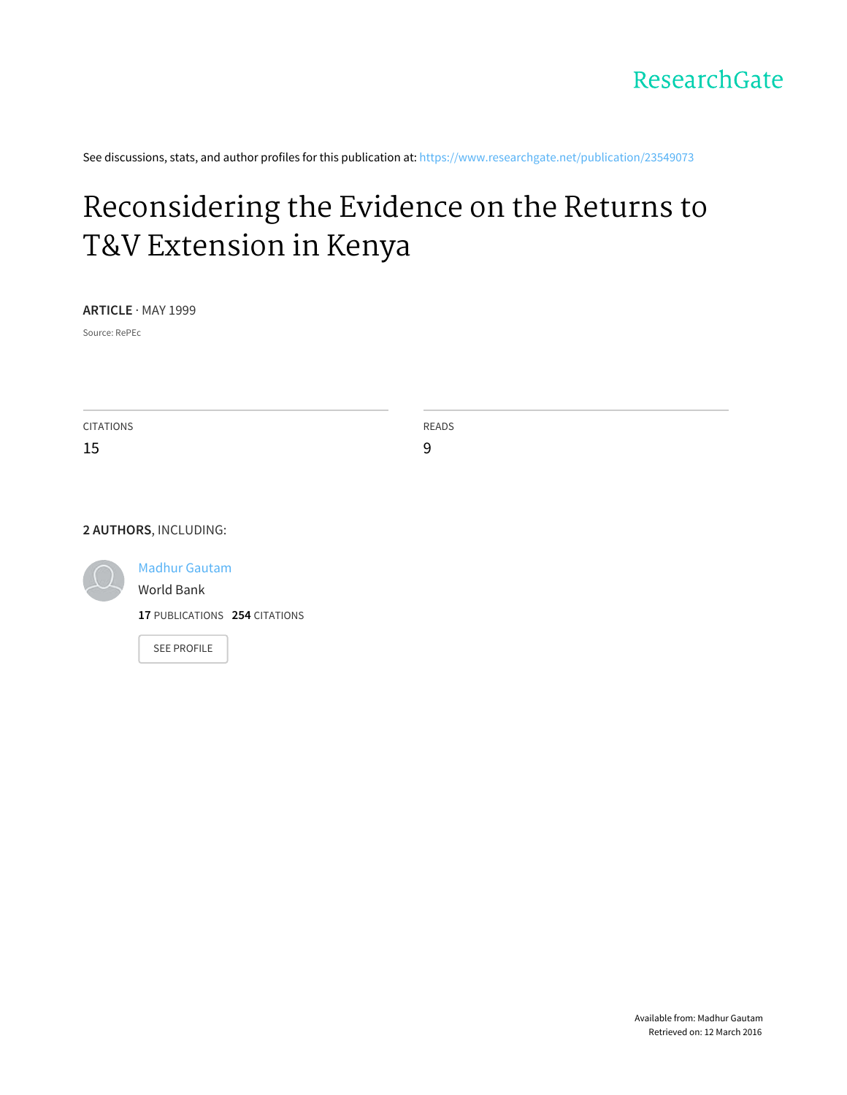

See discussions, stats, and author profiles for this publication at: [https://www.researchgate.net/publication/23549073](https://www.researchgate.net/publication/23549073_Reconsidering_the_Evidence_on_the_Returns_to_TV_Extension_in_Kenya?enrichId=rgreq-0119c50e-e689-437a-844d-7f016286279a&enrichSource=Y292ZXJQYWdlOzIzNTQ5MDczO0FTOjI0NDU3NTk2MDgyNTg2MEAxNDM1MzIyODYxNzE3&el=1_x_2)

# [Reconsidering](https://www.researchgate.net/publication/23549073_Reconsidering_the_Evidence_on_the_Returns_to_TV_Extension_in_Kenya?enrichId=rgreq-0119c50e-e689-437a-844d-7f016286279a&enrichSource=Y292ZXJQYWdlOzIzNTQ5MDczO0FTOjI0NDU3NTk2MDgyNTg2MEAxNDM1MzIyODYxNzE3&el=1_x_3) the Evidence on the Returns to T&V Extension in Kenya

**ARTICLE** · MAY 1999

Source: RePEc

CITATIONS 15 READS 9

#### **2 AUTHORS**, INCLUDING:



Madhur [Gautam](https://www.researchgate.net/profile/Madhur_Gautam?enrichId=rgreq-0119c50e-e689-437a-844d-7f016286279a&enrichSource=Y292ZXJQYWdlOzIzNTQ5MDczO0FTOjI0NDU3NTk2MDgyNTg2MEAxNDM1MzIyODYxNzE3&el=1_x_5)

[World](https://www.researchgate.net/institution/World_Bank?enrichId=rgreq-0119c50e-e689-437a-844d-7f016286279a&enrichSource=Y292ZXJQYWdlOzIzNTQ5MDczO0FTOjI0NDU3NTk2MDgyNTg2MEAxNDM1MzIyODYxNzE3&el=1_x_6) Bank

**17** PUBLICATIONS **254** CITATIONS

SEE [PROFILE](https://www.researchgate.net/profile/Madhur_Gautam?enrichId=rgreq-0119c50e-e689-437a-844d-7f016286279a&enrichSource=Y292ZXJQYWdlOzIzNTQ5MDczO0FTOjI0NDU3NTk2MDgyNTg2MEAxNDM1MzIyODYxNzE3&el=1_x_7)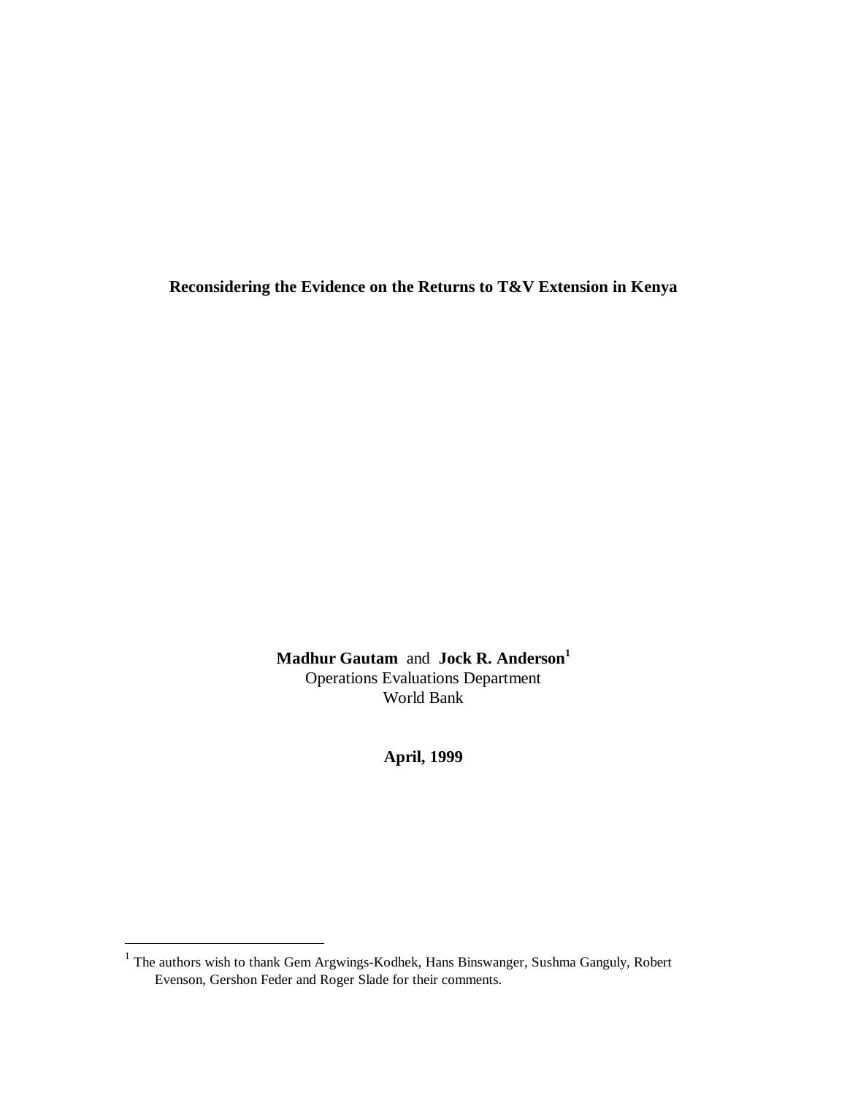**Reconsidering the Evidence on the Returns to T&V Extension in Kenya**

**Madhur Gautam** and **Jock R. Anderson<sup>1</sup>** Operations Evaluations Department World Bank

**April, 1999**

The authors wish to thank Gem Argwings-Kodhek, Hans Binswanger, Sushma Ganguly, Robert<br><sup>1</sup> The authors wish to thank Gem Argwings-Kodhek, Hans Binswanger, Sushma Ganguly, Robert Evenson, Gershon Feder and Roger Slade for their comments.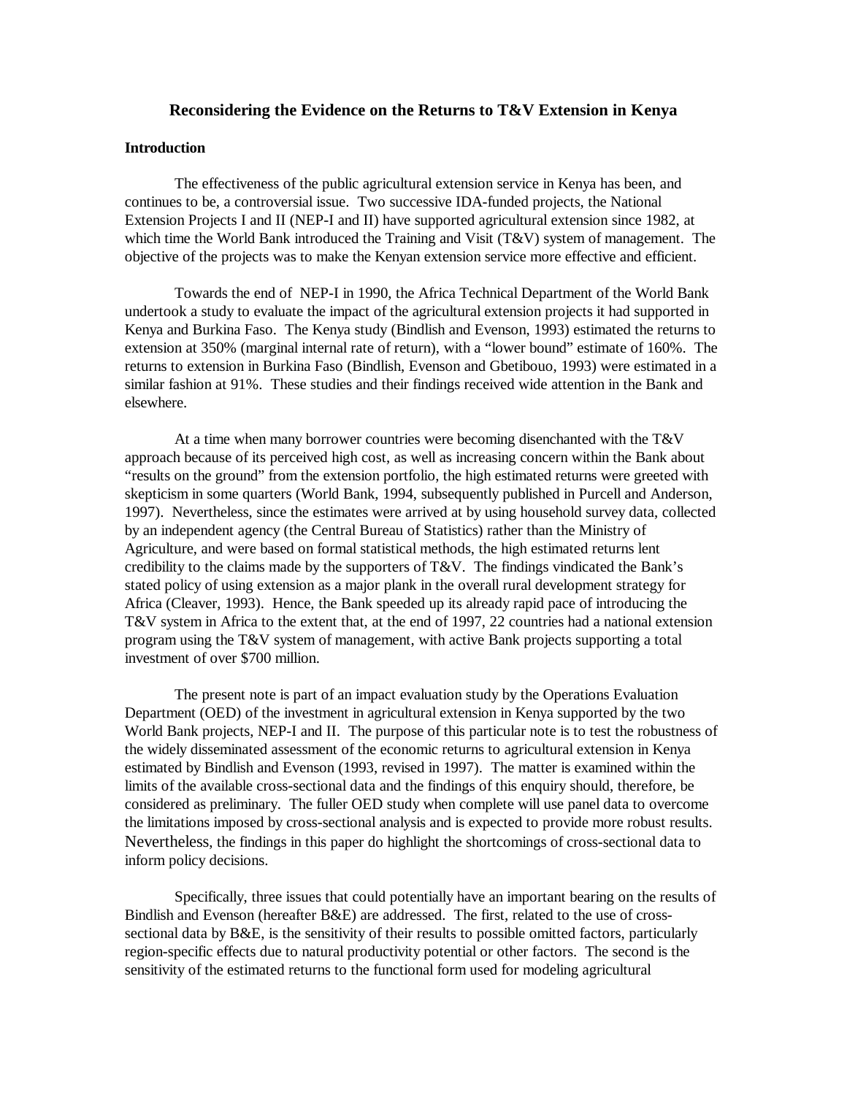# **Reconsidering the Evidence on the Returns to T&V Extension in Kenya**

# **Introduction**

The effectiveness of the public agricultural extension service in Kenya has been, and continues to be, a controversial issue. Two successive IDA-funded projects, the National Extension Projects I and II (NEP-I and II) have supported agricultural extension since 1982, at which time the World Bank introduced the Training and Visit (T&V) system of management. The objective of the projects was to make the Kenyan extension service more effective and efficient.

Towards the end of NEP-I in 1990, the Africa Technical Department of the World Bank undertook a study to evaluate the impact of the agricultural extension projects it had supported in Kenya and Burkina Faso. The Kenya study (Bindlish and Evenson, 1993) estimated the returns to extension at 350% (marginal internal rate of return), with a "lower bound" estimate of 160%. The returns to extension in Burkina Faso (Bindlish, Evenson and Gbetibouo, 1993) were estimated in a similar fashion at 91%. These studies and their findings received wide attention in the Bank and elsewhere.

At a time when many borrower countries were becoming disenchanted with the T&V approach because of its perceived high cost, as well as increasing concern within the Bank about "results on the ground" from the extension portfolio, the high estimated returns were greeted with skepticism in some quarters (World Bank, 1994, subsequently published in Purcell and Anderson, 1997). Nevertheless, since the estimates were arrived at by using household survey data, collected by an independent agency (the Central Bureau of Statistics) rather than the Ministry of Agriculture, and were based on formal statistical methods, the high estimated returns lent credibility to the claims made by the supporters of T&V. The findings vindicated the Bank's stated policy of using extension as a major plank in the overall rural development strategy for Africa (Cleaver, 1993). Hence, the Bank speeded up its already rapid pace of introducing the T&V system in Africa to the extent that, at the end of 1997, 22 countries had a national extension program using the T&V system of management, with active Bank projects supporting a total investment of over \$700 million.

The present note is part of an impact evaluation study by the Operations Evaluation Department (OED) of the investment in agricultural extension in Kenya supported by the two World Bank projects, NEP-I and II. The purpose of this particular note is to test the robustness of the widely disseminated assessment of the economic returns to agricultural extension in Kenya estimated by Bindlish and Evenson (1993, revised in 1997). The matter is examined within the limits of the available cross-sectional data and the findings of this enquiry should, therefore, be considered as preliminary. The fuller OED study when complete will use panel data to overcome the limitations imposed by cross-sectional analysis and is expected to provide more robust results. Nevertheless, the findings in this paper do highlight the shortcomings of cross-sectional data to inform policy decisions.

Specifically, three issues that could potentially have an important bearing on the results of Bindlish and Evenson (hereafter B&E) are addressed. The first, related to the use of crosssectional data by B&E, is the sensitivity of their results to possible omitted factors, particularly region-specific effects due to natural productivity potential or other factors. The second is the sensitivity of the estimated returns to the functional form used for modeling agricultural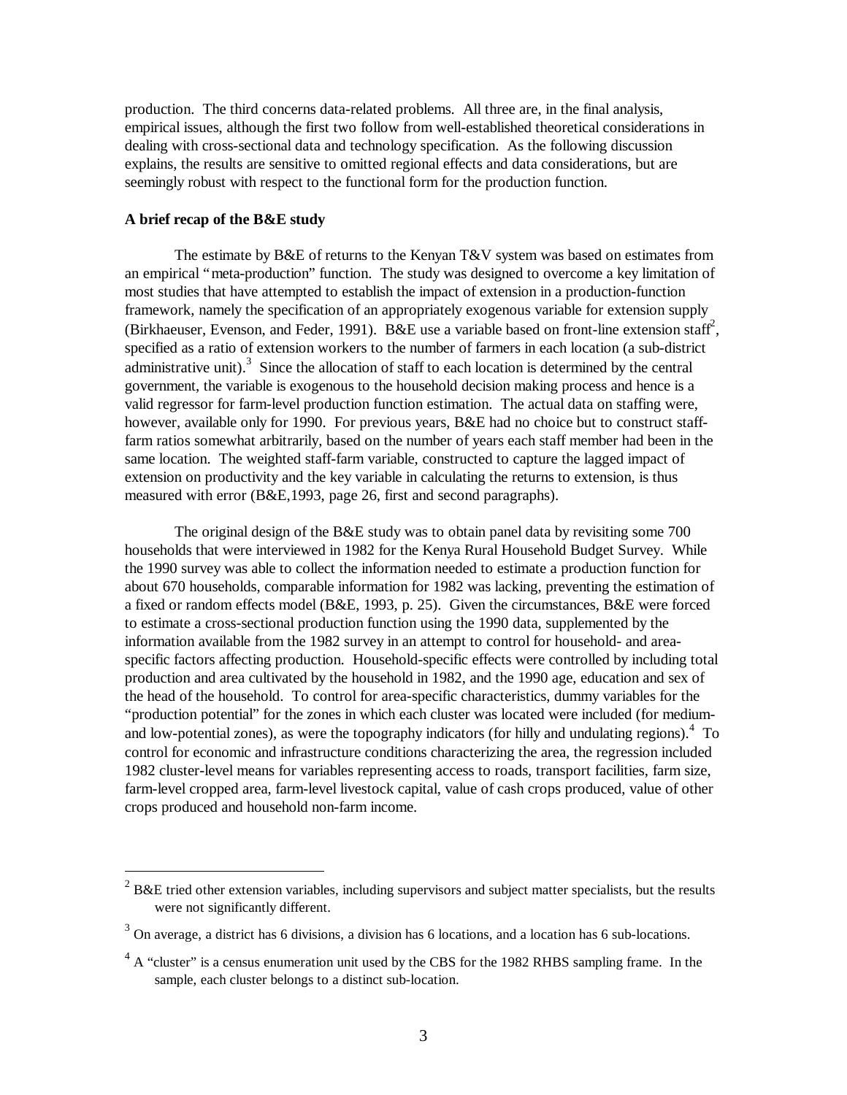production. The third concerns data-related problems. All three are, in the final analysis, empirical issues, although the first two follow from well-established theoretical considerations in dealing with cross-sectional data and technology specification. As the following discussion explains, the results are sensitive to omitted regional effects and data considerations, but are seemingly robust with respect to the functional form for the production function.

# **A brief recap of the B&E study**

1

The estimate by B&E of returns to the Kenyan T&V system was based on estimates from an empirical "meta-production" function. The study was designed to overcome a key limitation of most studies that have attempted to establish the impact of extension in a production-function framework, namely the specification of an appropriately exogenous variable for extension supply (Birkhaeuser, Evenson, and Feder, 1991). B&E use a variable based on front-line extension staff<sup>2</sup>, specified as a ratio of extension workers to the number of farmers in each location (a sub-district administrative unit). $3$  Since the allocation of staff to each location is determined by the central government, the variable is exogenous to the household decision making process and hence is a valid regressor for farm-level production function estimation. The actual data on staffing were, however, available only for 1990. For previous years, B&E had no choice but to construct stafffarm ratios somewhat arbitrarily, based on the number of years each staff member had been in the same location. The weighted staff-farm variable, constructed to capture the lagged impact of extension on productivity and the key variable in calculating the returns to extension, is thus measured with error (B&E,1993, page 26, first and second paragraphs).

The original design of the B&E study was to obtain panel data by revisiting some 700 households that were interviewed in 1982 for the Kenya Rural Household Budget Survey. While the 1990 survey was able to collect the information needed to estimate a production function for about 670 households, comparable information for 1982 was lacking, preventing the estimation of a fixed or random effects model (B&E, 1993, p. 25). Given the circumstances, B&E were forced to estimate a cross-sectional production function using the 1990 data, supplemented by the information available from the 1982 survey in an attempt to control for household- and areaspecific factors affecting production. Household-specific effects were controlled by including total production and area cultivated by the household in 1982, and the 1990 age, education and sex of the head of the household. To control for area-specific characteristics, dummy variables for the "production potential" for the zones in which each cluster was located were included (for mediumand low-potential zones), as were the topography indicators (for hilly and undulating regions). $4$  To control for economic and infrastructure conditions characterizing the area, the regression included 1982 cluster-level means for variables representing access to roads, transport facilities, farm size, farm-level cropped area, farm-level livestock capital, value of cash crops produced, value of other crops produced and household non-farm income.

<sup>2</sup> B&E tried other extension variables, including supervisors and subject matter specialists, but the results were not significantly different.

 $3$  On average, a district has 6 divisions, a division has 6 locations, and a location has 6 sub-locations.

 $4 \text{ A}$  "cluster" is a census enumeration unit used by the CBS for the 1982 RHBS sampling frame. In the sample, each cluster belongs to a distinct sub-location.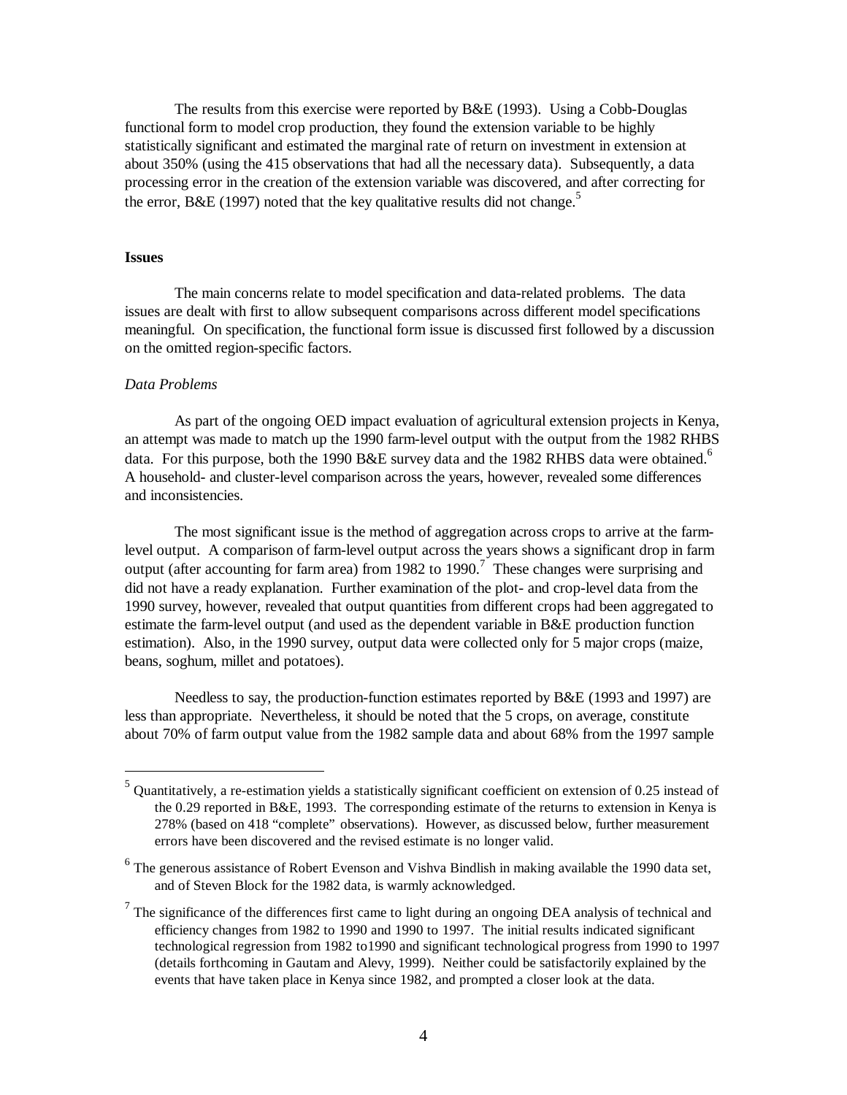The results from this exercise were reported by B&E (1993). Using a Cobb-Douglas functional form to model crop production, they found the extension variable to be highly statistically significant and estimated the marginal rate of return on investment in extension at about 350% (using the 415 observations that had all the necessary data). Subsequently, a data processing error in the creation of the extension variable was discovered, and after correcting for the error, B&E (1997) noted that the key qualitative results did not change.<sup>5</sup>

#### **Issues**

The main concerns relate to model specification and data-related problems. The data issues are dealt with first to allow subsequent comparisons across different model specifications meaningful. On specification, the functional form issue is discussed first followed by a discussion on the omitted region-specific factors.

#### *Data Problems*

As part of the ongoing OED impact evaluation of agricultural extension projects in Kenya, an attempt was made to match up the 1990 farm-level output with the output from the 1982 RHBS data. For this purpose, both the 1990 B&E survey data and the 1982 RHBS data were obtained.<sup>6</sup> A household- and cluster-level comparison across the years, however, revealed some differences and inconsistencies.

The most significant issue is the method of aggregation across crops to arrive at the farmlevel output. A comparison of farm-level output across the years shows a significant drop in farm output (after accounting for farm area) from 1982 to 1990.<sup>7</sup> These changes were surprising and did not have a ready explanation. Further examination of the plot- and crop-level data from the 1990 survey, however, revealed that output quantities from different crops had been aggregated to estimate the farm-level output (and used as the dependent variable in B&E production function estimation). Also, in the 1990 survey, output data were collected only for 5 major crops (maize, beans, soghum, millet and potatoes).

Needless to say, the production-function estimates reported by B&E (1993 and 1997) are less than appropriate. Nevertheless, it should be noted that the 5 crops, on average, constitute about 70% of farm output value from the 1982 sample data and about 68% from the 1997 sample

 5 Quantitatively, a re-estimation yields a statistically significant coefficient on extension of 0.25 instead of the 0.29 reported in B&E, 1993. The corresponding estimate of the returns to extension in Kenya is 278% (based on 418 "complete" observations). However, as discussed below, further measurement errors have been discovered and the revised estimate is no longer valid.

<sup>&</sup>lt;sup>6</sup> The generous assistance of Robert Evenson and Vishva Bindlish in making available the 1990 data set, and of Steven Block for the 1982 data, is warmly acknowledged.

 $<sup>7</sup>$  The significance of the differences first came to light during an ongoing DEA analysis of technical and</sup> efficiency changes from 1982 to 1990 and 1990 to 1997. The initial results indicated significant technological regression from 1982 to1990 and significant technological progress from 1990 to 1997 (details forthcoming in Gautam and Alevy, 1999). Neither could be satisfactorily explained by the events that have taken place in Kenya since 1982, and prompted a closer look at the data.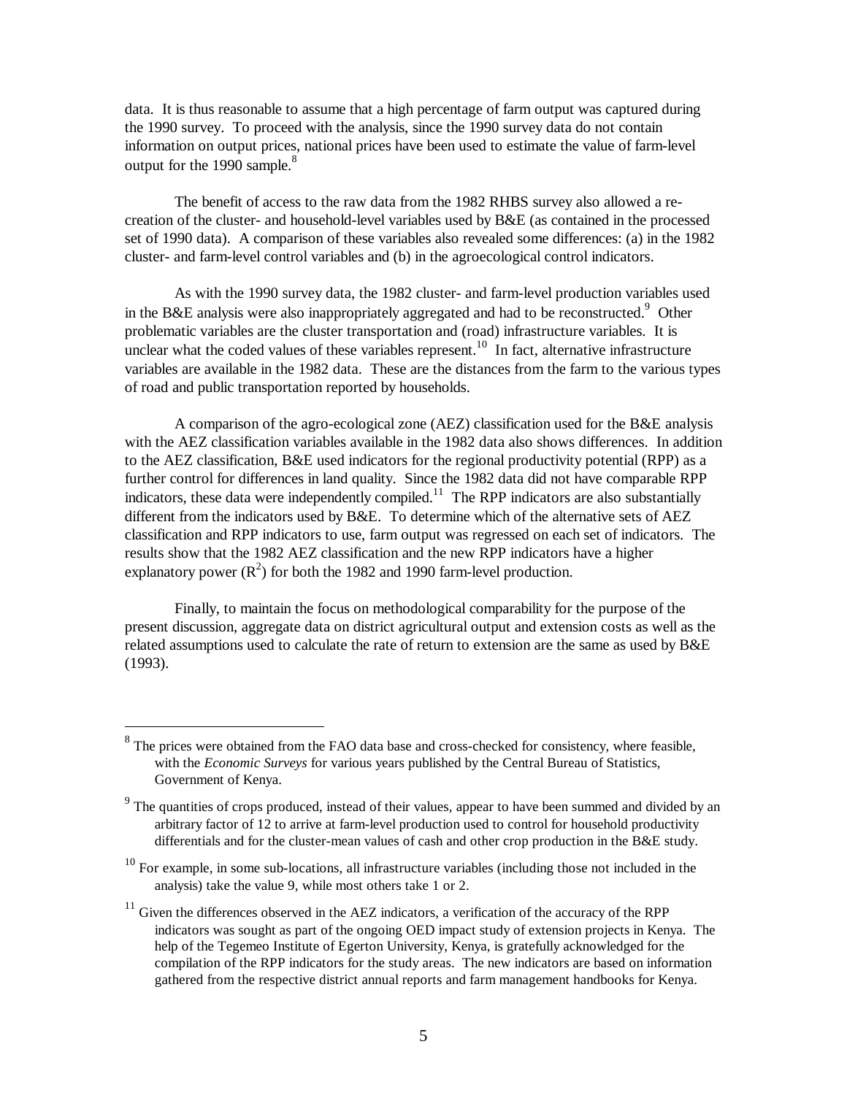data. It is thus reasonable to assume that a high percentage of farm output was captured during the 1990 survey. To proceed with the analysis, since the 1990 survey data do not contain information on output prices, national prices have been used to estimate the value of farm-level output for the 1990 sample.<sup>8</sup>

The benefit of access to the raw data from the 1982 RHBS survey also allowed a recreation of the cluster- and household-level variables used by B&E (as contained in the processed set of 1990 data). A comparison of these variables also revealed some differences: (a) in the 1982 cluster- and farm-level control variables and (b) in the agroecological control indicators.

As with the 1990 survey data, the 1982 cluster- and farm-level production variables used in the B&E analysis were also inappropriately aggregated and had to be reconstructed.<sup>9</sup> Other problematic variables are the cluster transportation and (road) infrastructure variables. It is unclear what the coded values of these variables represent.<sup>10</sup> In fact, alternative infrastructure variables are available in the 1982 data. These are the distances from the farm to the various types of road and public transportation reported by households.

A comparison of the agro-ecological zone (AEZ) classification used for the B&E analysis with the AEZ classification variables available in the 1982 data also shows differences. In addition to the AEZ classification, B&E used indicators for the regional productivity potential (RPP) as a further control for differences in land quality. Since the 1982 data did not have comparable RPP indicators, these data were independently compiled.<sup>11</sup> The RPP indicators are also substantially different from the indicators used by B&E. To determine which of the alternative sets of AEZ classification and RPP indicators to use, farm output was regressed on each set of indicators. The results show that the 1982 AEZ classification and the new RPP indicators have a higher explanatory power  $(R^2)$  for both the 1982 and 1990 farm-level production.

Finally, to maintain the focus on methodological comparability for the purpose of the present discussion, aggregate data on district agricultural output and extension costs as well as the related assumptions used to calculate the rate of return to extension are the same as used by B&E (1993).

<u>.</u>

<sup>8</sup> The prices were obtained from the FAO data base and cross-checked for consistency, where feasible, with the *Economic Surveys* for various years published by the Central Bureau of Statistics, Government of Kenya.

<sup>&</sup>lt;sup>9</sup> The quantities of crops produced, instead of their values, appear to have been summed and divided by an arbitrary factor of 12 to arrive at farm-level production used to control for household productivity differentials and for the cluster-mean values of cash and other crop production in the B&E study.

 $10$  For example, in some sub-locations, all infrastructure variables (including those not included in the analysis) take the value 9, while most others take 1 or 2.

 $11$  Given the differences observed in the AEZ indicators, a verification of the accuracy of the RPP indicators was sought as part of the ongoing OED impact study of extension projects in Kenya. The help of the Tegemeo Institute of Egerton University, Kenya, is gratefully acknowledged for the compilation of the RPP indicators for the study areas. The new indicators are based on information gathered from the respective district annual reports and farm management handbooks for Kenya.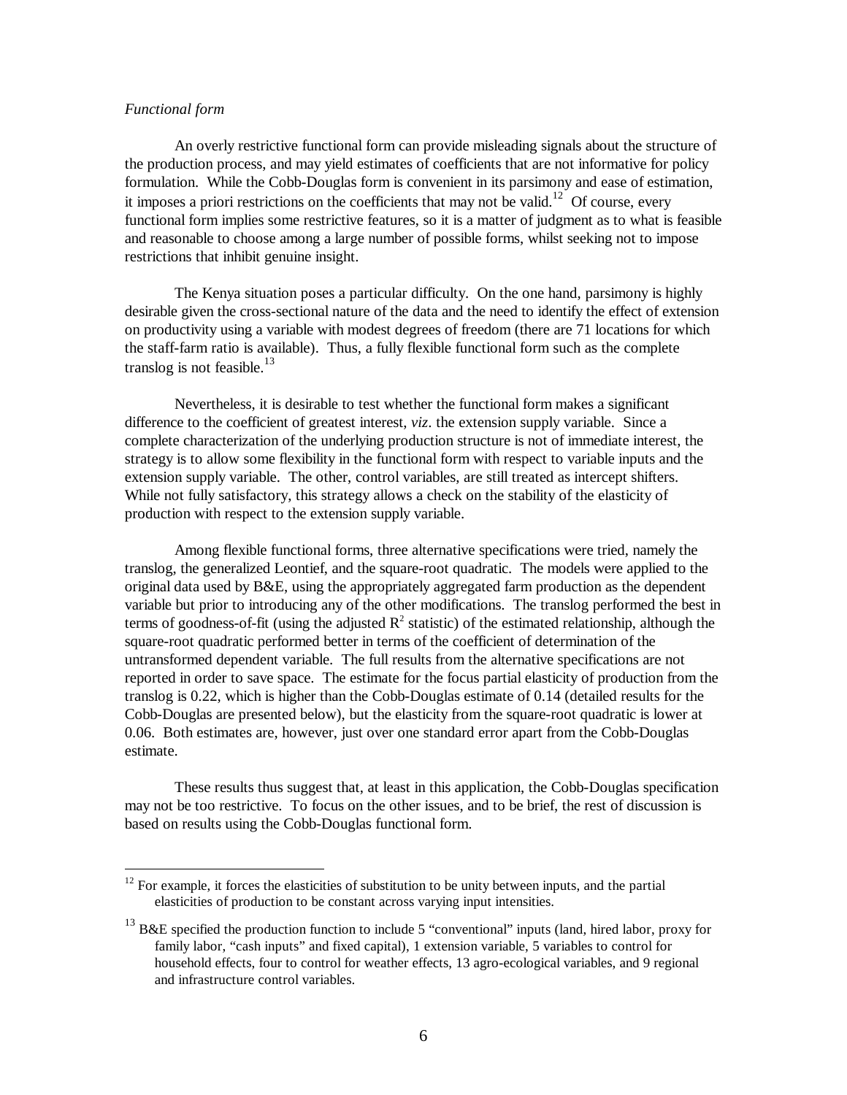## *Functional form*

1

An overly restrictive functional form can provide misleading signals about the structure of the production process, and may yield estimates of coefficients that are not informative for policy formulation. While the Cobb-Douglas form is convenient in its parsimony and ease of estimation, it imposes a priori restrictions on the coefficients that may not be valid.<sup>12</sup> Of course, every functional form implies some restrictive features, so it is a matter of judgment as to what is feasible and reasonable to choose among a large number of possible forms, whilst seeking not to impose restrictions that inhibit genuine insight.

The Kenya situation poses a particular difficulty. On the one hand, parsimony is highly desirable given the cross-sectional nature of the data and the need to identify the effect of extension on productivity using a variable with modest degrees of freedom (there are 71 locations for which the staff-farm ratio is available). Thus, a fully flexible functional form such as the complete translog is not feasible.<sup>13</sup>

Nevertheless, it is desirable to test whether the functional form makes a significant difference to the coefficient of greatest interest, *viz*. the extension supply variable. Since a complete characterization of the underlying production structure is not of immediate interest, the strategy is to allow some flexibility in the functional form with respect to variable inputs and the extension supply variable. The other, control variables, are still treated as intercept shifters. While not fully satisfactory, this strategy allows a check on the stability of the elasticity of production with respect to the extension supply variable.

Among flexible functional forms, three alternative specifications were tried, namely the translog, the generalized Leontief, and the square-root quadratic. The models were applied to the original data used by B&E, using the appropriately aggregated farm production as the dependent variable but prior to introducing any of the other modifications. The translog performed the best in terms of goodness-of-fit (using the adjusted  $\mathbb{R}^2$  statistic) of the estimated relationship, although the square-root quadratic performed better in terms of the coefficient of determination of the untransformed dependent variable. The full results from the alternative specifications are not reported in order to save space. The estimate for the focus partial elasticity of production from the translog is 0.22, which is higher than the Cobb-Douglas estimate of 0.14 (detailed results for the Cobb-Douglas are presented below), but the elasticity from the square-root quadratic is lower at 0.06. Both estimates are, however, just over one standard error apart from the Cobb-Douglas estimate.

These results thus suggest that, at least in this application, the Cobb-Douglas specification may not be too restrictive. To focus on the other issues, and to be brief, the rest of discussion is based on results using the Cobb-Douglas functional form.

 $12$  For example, it forces the elasticities of substitution to be unity between inputs, and the partial elasticities of production to be constant across varying input intensities.

 $13$  B&E specified the production function to include 5 "conventional" inputs (land, hired labor, proxy for family labor, "cash inputs" and fixed capital), 1 extension variable, 5 variables to control for household effects, four to control for weather effects, 13 agro-ecological variables, and 9 regional and infrastructure control variables.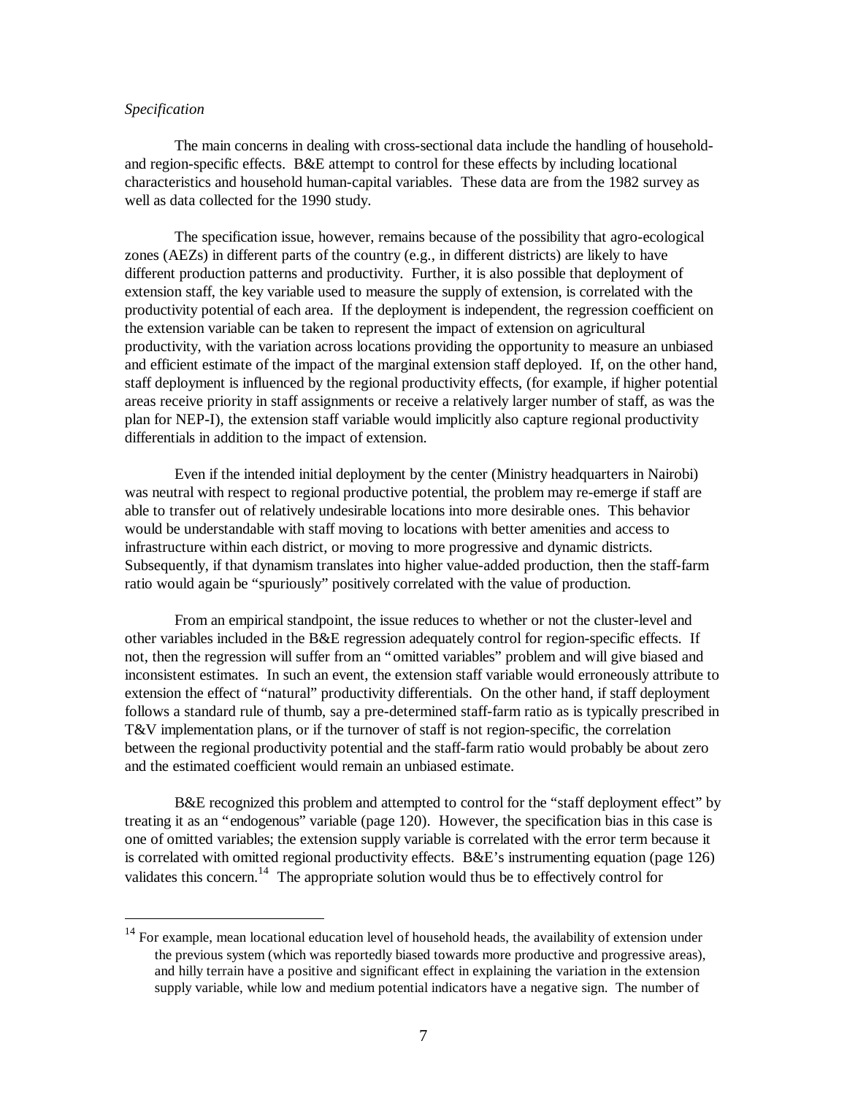#### *Specification*

1

The main concerns in dealing with cross-sectional data include the handling of householdand region-specific effects. B&E attempt to control for these effects by including locational characteristics and household human-capital variables. These data are from the 1982 survey as well as data collected for the 1990 study.

The specification issue, however, remains because of the possibility that agro-ecological zones (AEZs) in different parts of the country (e.g., in different districts) are likely to have different production patterns and productivity. Further, it is also possible that deployment of extension staff, the key variable used to measure the supply of extension, is correlated with the productivity potential of each area. If the deployment is independent, the regression coefficient on the extension variable can be taken to represent the impact of extension on agricultural productivity, with the variation across locations providing the opportunity to measure an unbiased and efficient estimate of the impact of the marginal extension staff deployed. If, on the other hand, staff deployment is influenced by the regional productivity effects, (for example, if higher potential areas receive priority in staff assignments or receive a relatively larger number of staff, as was the plan for NEP-I), the extension staff variable would implicitly also capture regional productivity differentials in addition to the impact of extension.

Even if the intended initial deployment by the center (Ministry headquarters in Nairobi) was neutral with respect to regional productive potential, the problem may re-emerge if staff are able to transfer out of relatively undesirable locations into more desirable ones. This behavior would be understandable with staff moving to locations with better amenities and access to infrastructure within each district, or moving to more progressive and dynamic districts. Subsequently, if that dynamism translates into higher value-added production, then the staff-farm ratio would again be "spuriously" positively correlated with the value of production.

From an empirical standpoint, the issue reduces to whether or not the cluster-level and other variables included in the B&E regression adequately control for region-specific effects. If not, then the regression will suffer from an "omitted variables" problem and will give biased and inconsistent estimates. In such an event, the extension staff variable would erroneously attribute to extension the effect of "natural" productivity differentials. On the other hand, if staff deployment follows a standard rule of thumb, say a pre-determined staff-farm ratio as is typically prescribed in T&V implementation plans, or if the turnover of staff is not region-specific, the correlation between the regional productivity potential and the staff-farm ratio would probably be about zero and the estimated coefficient would remain an unbiased estimate.

B&E recognized this problem and attempted to control for the "staff deployment effect" by treating it as an "endogenous" variable (page 120). However, the specification bias in this case is one of omitted variables; the extension supply variable is correlated with the error term because it is correlated with omitted regional productivity effects. B&E's instrumenting equation (page 126) validates this concern.<sup>14</sup> The appropriate solution would thus be to effectively control for

<sup>&</sup>lt;sup>14</sup> For example, mean locational education level of household heads, the availability of extension under the previous system (which was reportedly biased towards more productive and progressive areas), and hilly terrain have a positive and significant effect in explaining the variation in the extension supply variable, while low and medium potential indicators have a negative sign. The number of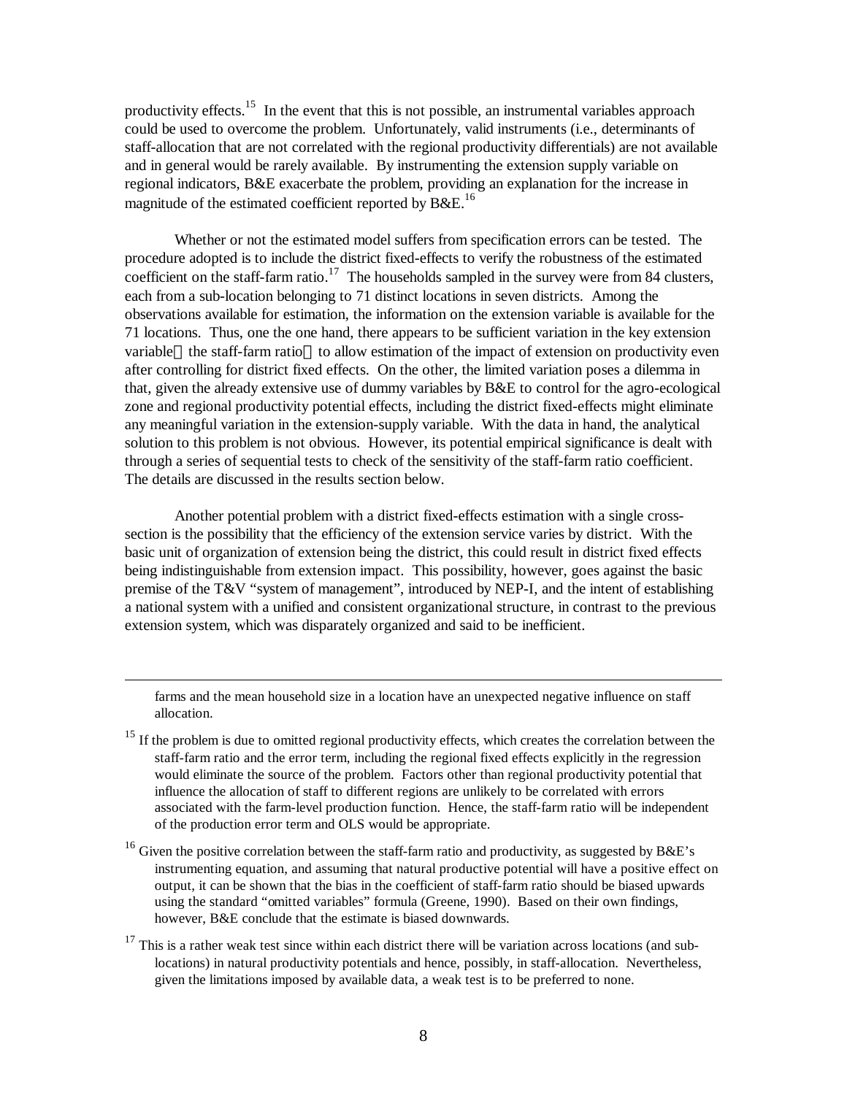productivity effects.<sup>15</sup> In the event that this is not possible, an instrumental variables approach could be used to overcome the problem. Unfortunately, valid instruments (i.e., determinants of staff-allocation that are not correlated with the regional productivity differentials) are not available and in general would be rarely available. By instrumenting the extension supply variable on regional indicators, B&E exacerbate the problem, providing an explanation for the increase in magnitude of the estimated coefficient reported by  $B\&E^{16}$ .

Whether or not the estimated model suffers from specification errors can be tested. The procedure adopted is to include the district fixed-effects to verify the robustness of the estimated coefficient on the staff-farm ratio.<sup>17</sup> The households sampled in the survey were from 84 clusters, each from a sub-location belonging to 71 distinct locations in seven districts. Among the observations available for estimation, the information on the extension variable is available for the 71 locations. Thus, one the one hand, there appears to be sufficient variation in the key extension variable—the staff-farm ratio—to allow estimation of the impact of extension on productivity even after controlling for district fixed effects. On the other, the limited variation poses a dilemma in that, given the already extensive use of dummy variables by B&E to control for the agro-ecological zone and regional productivity potential effects, including the district fixed-effects might eliminate any meaningful variation in the extension-supply variable. With the data in hand, the analytical solution to this problem is not obvious. However, its potential empirical significance is dealt with through a series of sequential tests to check of the sensitivity of the staff-farm ratio coefficient. The details are discussed in the results section below.

Another potential problem with a district fixed-effects estimation with a single crosssection is the possibility that the efficiency of the extension service varies by district. With the basic unit of organization of extension being the district, this could result in district fixed effects being indistinguishable from extension impact. This possibility, however, goes against the basic premise of the T&V "system of management", introduced by NEP-I, and the intent of establishing a national system with a unified and consistent organizational structure, in contrast to the previous extension system, which was disparately organized and said to be inefficient.

farms and the mean household size in a location have an unexpected negative influence on staff allocation.

1

<sup>15</sup> If the problem is due to omitted regional productivity effects, which creates the correlation between the staff-farm ratio and the error term, including the regional fixed effects explicitly in the regression would eliminate the source of the problem. Factors other than regional productivity potential that influence the allocation of staff to different regions are unlikely to be correlated with errors associated with the farm-level production function. Hence, the staff-farm ratio will be independent of the production error term and OLS would be appropriate.

<sup>16</sup> Given the positive correlation between the staff-farm ratio and productivity, as suggested by B&E's instrumenting equation, and assuming that natural productive potential will have a positive effect on output, it can be shown that the bias in the coefficient of staff-farm ratio should be biased upwards using the standard "omitted variables" formula (Greene, 1990). Based on their own findings, however, B&E conclude that the estimate is biased downwards.

 $17$  This is a rather weak test since within each district there will be variation across locations (and sublocations) in natural productivity potentials and hence, possibly, in staff-allocation. Nevertheless, given the limitations imposed by available data, a weak test is to be preferred to none.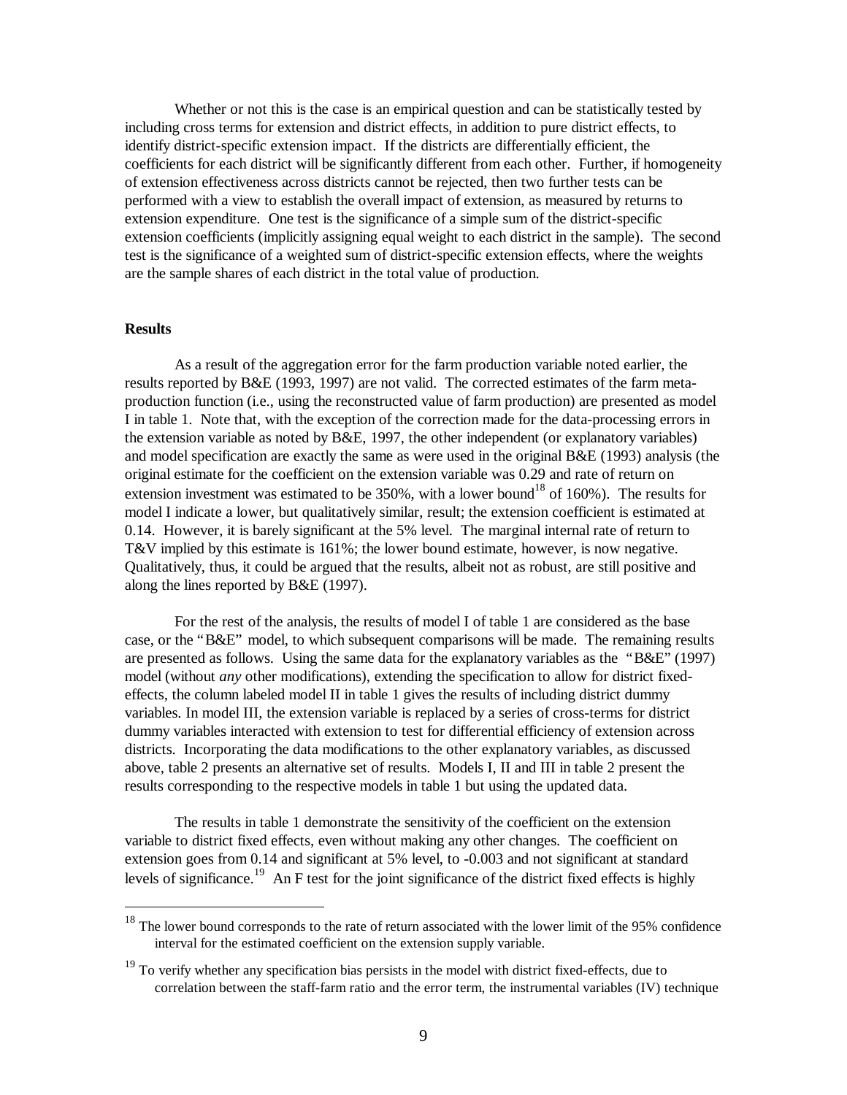Whether or not this is the case is an empirical question and can be statistically tested by including cross terms for extension and district effects, in addition to pure district effects, to identify district-specific extension impact. If the districts are differentially efficient, the coefficients for each district will be significantly different from each other. Further, if homogeneity of extension effectiveness across districts cannot be rejected, then two further tests can be performed with a view to establish the overall impact of extension, as measured by returns to extension expenditure. One test is the significance of a simple sum of the district-specific extension coefficients (implicitly assigning equal weight to each district in the sample). The second test is the significance of a weighted sum of district-specific extension effects, where the weights are the sample shares of each district in the total value of production.

#### **Results**

1

As a result of the aggregation error for the farm production variable noted earlier, the results reported by B&E (1993, 1997) are not valid. The corrected estimates of the farm metaproduction function (i.e., using the reconstructed value of farm production) are presented as model I in table 1. Note that, with the exception of the correction made for the data-processing errors in the extension variable as noted by B&E, 1997, the other independent (or explanatory variables) and model specification are exactly the same as were used in the original B&E (1993) analysis (the original estimate for the coefficient on the extension variable was 0.29 and rate of return on extension investment was estimated to be  $350\%$ , with a lower bound<sup>18</sup> of 160%). The results for model I indicate a lower, but qualitatively similar, result; the extension coefficient is estimated at 0.14. However, it is barely significant at the 5% level. The marginal internal rate of return to T&V implied by this estimate is 161%; the lower bound estimate, however, is now negative. Qualitatively, thus, it could be argued that the results, albeit not as robust, are still positive and along the lines reported by B&E (1997).

For the rest of the analysis, the results of model I of table 1 are considered as the base case, or the "B&E" model, to which subsequent comparisons will be made. The remaining results are presented as follows. Using the same data for the explanatory variables as the "B&E" (1997) model (without *any* other modifications), extending the specification to allow for district fixedeffects, the column labeled model  $II$  in table 1 gives the results of including district dummy variables. In model III, the extension variable is replaced by a series of cross-terms for district dummy variables interacted with extension to test for differential efficiency of extension across districts. Incorporating the data modifications to the other explanatory variables, as discussed above, table 2 presents an alternative set of results. Models I, II and III in table 2 present the results corresponding to the respective models in table 1 but using the updated data.

The results in table 1 demonstrate the sensitivity of the coefficient on the extension variable to district fixed effects, even without making any other changes. The coefficient on extension goes from 0.14 and significant at 5% level, to -0.003 and not significant at standard levels of significance.<sup>19</sup> An F test for the joint significance of the district fixed effects is highly

 $18$  The lower bound corresponds to the rate of return associated with the lower limit of the 95% confidence interval for the estimated coefficient on the extension supply variable.

 $19$  To verify whether any specification bias persists in the model with district fixed-effects, due to correlation between the staff-farm ratio and the error term, the instrumental variables (IV) technique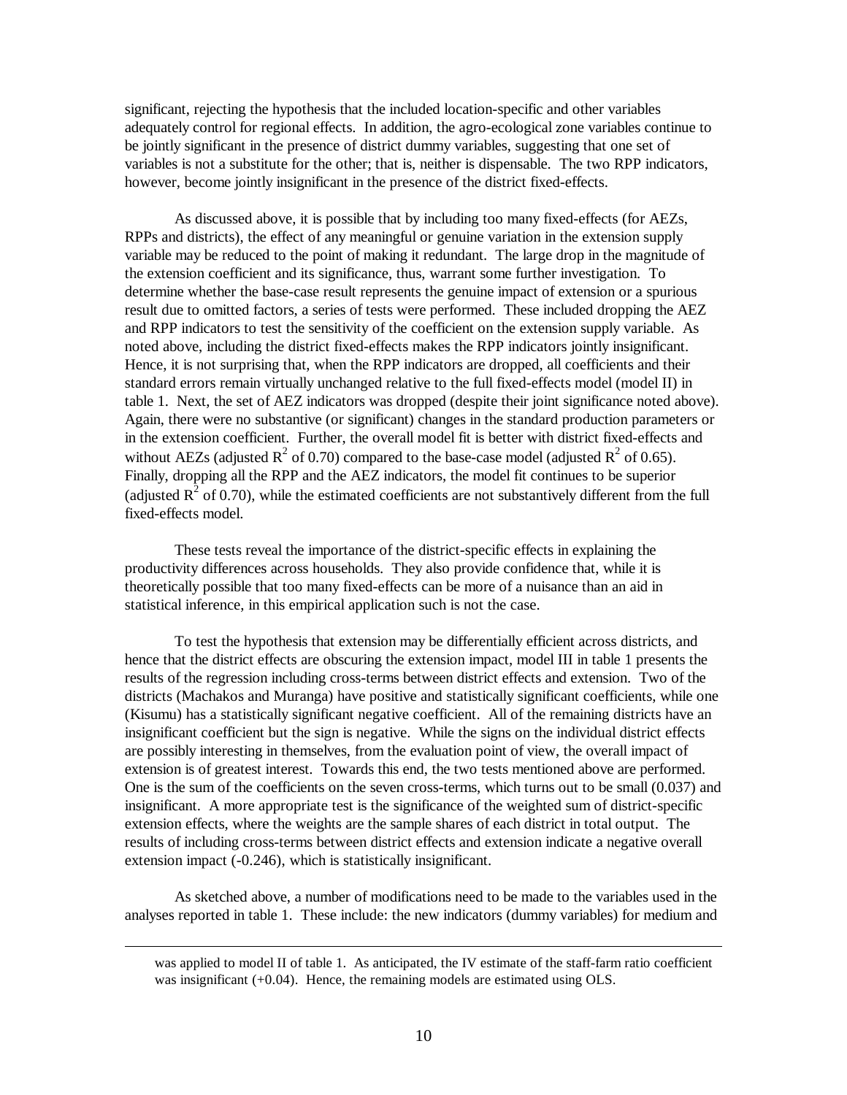significant, rejecting the hypothesis that the included location-specific and other variables adequately control for regional effects. In addition, the agro-ecological zone variables continue to be jointly significant in the presence of district dummy variables, suggesting that one set of variables is not a substitute for the other; that is, neither is dispensable. The two RPP indicators, however, become jointly insignificant in the presence of the district fixed-effects.

As discussed above, it is possible that by including too many fixed-effects (for AEZs, RPPs and districts), the effect of any meaningful or genuine variation in the extension supply variable may be reduced to the point of making it redundant. The large drop in the magnitude of the extension coefficient and its significance, thus, warrant some further investigation. To determine whether the base-case result represents the genuine impact of extension or a spurious result due to omitted factors, a series of tests were performed. These included dropping the AEZ and RPP indicators to test the sensitivity of the coefficient on the extension supply variable. As noted above, including the district fixed-effects makes the RPP indicators jointly insignificant. Hence, it is not surprising that, when the RPP indicators are dropped, all coefficients and their standard errors remain virtually unchanged relative to the full fixed-effects model (model II) in table 1. Next, the set of AEZ indicators was dropped (despite their joint significance noted above). Again, there were no substantive (or significant) changes in the standard production parameters or in the extension coefficient. Further, the overall model fit is better with district fixed-effects and without AEZs (adjusted  $R^2$  of 0.70) compared to the base-case model (adjusted  $R^2$  of 0.65). Finally, dropping all the RPP and the AEZ indicators, the model fit continues to be superior (adjusted  $R^2$  of 0.70), while the estimated coefficients are not substantively different from the full fixed-effects model.

These tests reveal the importance of the district-specific effects in explaining the productivity differences across households. They also provide confidence that, while it is theoretically possible that too many fixed-effects can be more of a nuisance than an aid in statistical inference, in this empirical application such is not the case.

To test the hypothesis that extension may be differentially efficient across districts, and hence that the district effects are obscuring the extension impact, model III in table 1 presents the results of the regression including cross-terms between district effects and extension. Two of the districts (Machakos and Muranga) have positive and statistically significant coefficients, while one (Kisumu) has a statistically significant negative coefficient. All of the remaining districts have an insignificant coefficient but the sign is negative. While the signs on the individual district effects are possibly interesting in themselves, from the evaluation point of view, the overall impact of extension is of greatest interest. Towards this end, the two tests mentioned above are performed. One is the sum of the coefficients on the seven cross-terms, which turns out to be small (0.037) and insignificant. A more appropriate test is the significance of the weighted sum of district-specific extension effects, where the weights are the sample shares of each district in total output. The results of including cross-terms between district effects and extension indicate a negative overall extension impact (-0.246), which is statistically insignificant.

As sketched above, a number of modifications need to be made to the variables used in the analyses reported in table 1. These include: the new indicators (dummy variables) for medium and

<u>.</u>

was applied to model II of table 1. As anticipated, the IV estimate of the staff-farm ratio coefficient was insignificant (+0.04). Hence, the remaining models are estimated using OLS.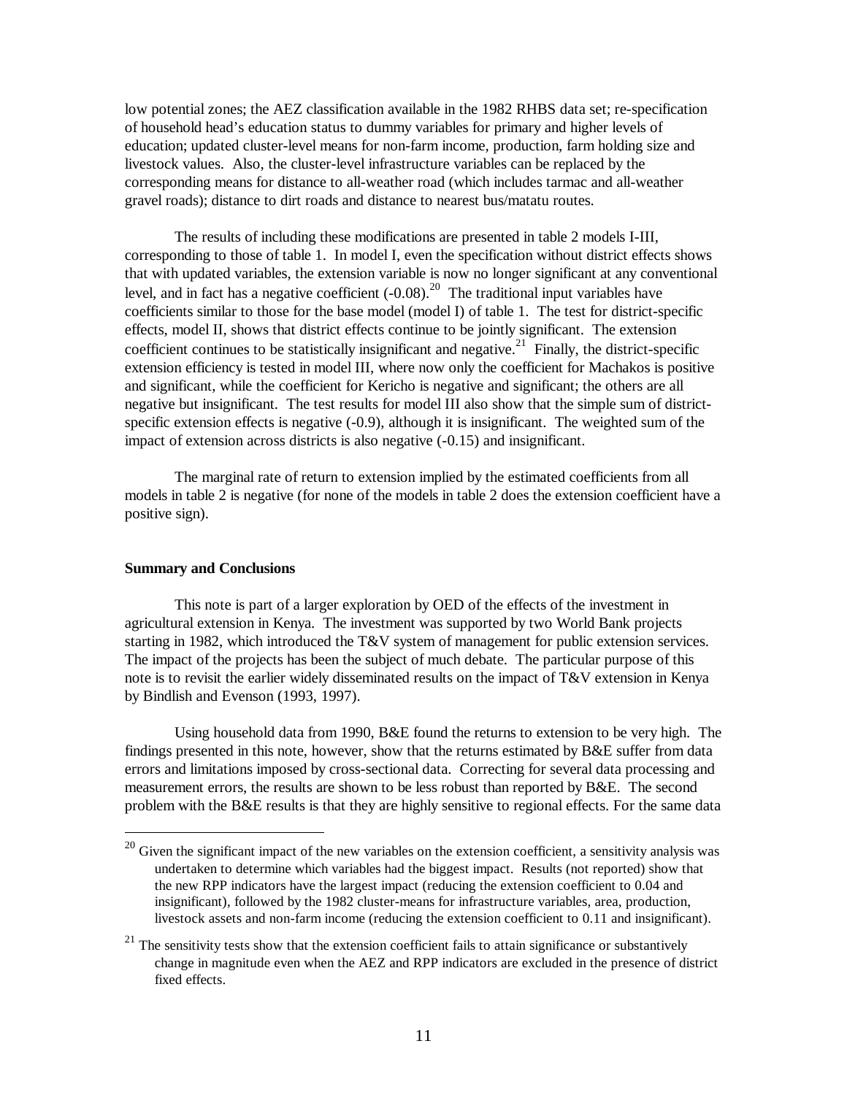low potential zones; the AEZ classification available in the 1982 RHBS data set; re-specification of household head's education status to dummy variables for primary and higher levels of education; updated cluster-level means for non-farm income, production, farm holding size and livestock values. Also, the cluster-level infrastructure variables can be replaced by the corresponding means for distance to all-weather road (which includes tarmac and all-weather gravel roads); distance to dirt roads and distance to nearest bus/matatu routes.

The results of including these modifications are presented in table 2 models I-III, corresponding to those of table 1. In model I, even the specification without district effects shows that with updated variables, the extension variable is now no longer significant at any conventional level, and in fact has a negative coefficient  $(-0.08)$ <sup>20</sup> The traditional input variables have coefficients similar to those for the base model (model I) of table 1. The test for district-specific effects, model II, shows that district effects continue to be jointly significant. The extension coefficient continues to be statistically insignificant and negative.<sup>21</sup> Finally, the district-specific extension efficiency is tested in model III, where now only the coefficient for Machakos is positive and significant, while the coefficient for Kericho is negative and significant; the others are all negative but insignificant. The test results for model III also show that the simple sum of districtspecific extension effects is negative (-0.9), although it is insignificant. The weighted sum of the impact of extension across districts is also negative (-0.15) and insignificant.

The marginal rate of return to extension implied by the estimated coefficients from all models in table 2 is negative (for none of the models in table 2 does the extension coefficient have a positive sign).

# **Summary and Conclusions**

1

This note is part of a larger exploration by OED of the effects of the investment in agricultural extension in Kenya. The investment was supported by two World Bank projects starting in 1982, which introduced the T&V system of management for public extension services. The impact of the projects has been the subject of much debate. The particular purpose of this note is to revisit the earlier widely disseminated results on the impact of T&V extension in Kenya by Bindlish and Evenson (1993, 1997).

Using household data from 1990, B&E found the returns to extension to be very high. The findings presented in this note, however, show that the returns estimated by B&E suffer from data errors and limitations imposed by cross-sectional data. Correcting for several data processing and measurement errors, the results are shown to be less robust than reported by B&E. The second problem with the B&E results is that they are highly sensitive to regional effects. For the same data

 $^{20}$  Given the significant impact of the new variables on the extension coefficient, a sensitivity analysis was undertaken to determine which variables had the biggest impact. Results (not reported) show that the new RPP indicators have the largest impact (reducing the extension coefficient to 0.04 and insignificant), followed by the 1982 cluster-means for infrastructure variables, area, production, livestock assets and non-farm income (reducing the extension coefficient to 0.11 and insignificant).

 $21$  The sensitivity tests show that the extension coefficient fails to attain significance or substantively change in magnitude even when the AEZ and RPP indicators are excluded in the presence of district fixed effects.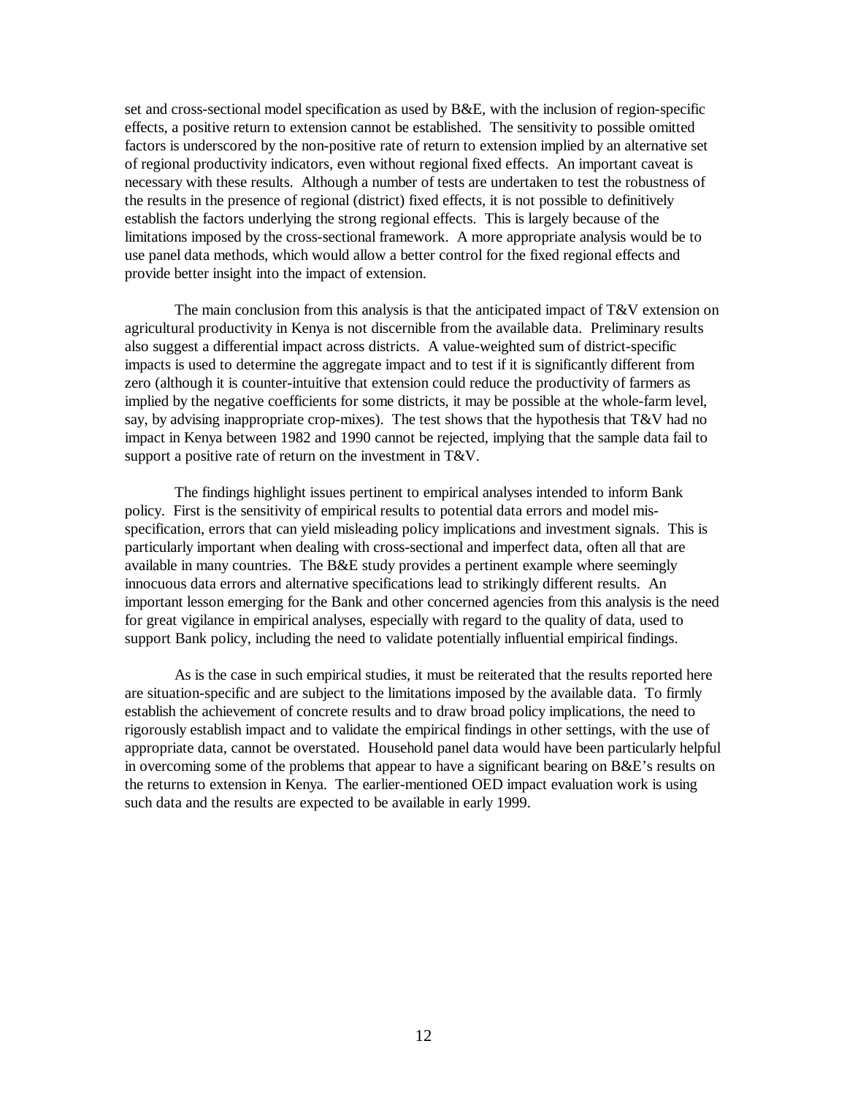set and cross-sectional model specification as used by B&E, with the inclusion of region-specific effects, a positive return to extension cannot be established. The sensitivity to possible omitted factors is underscored by the non-positive rate of return to extension implied by an alternative set of regional productivity indicators, even without regional fixed effects. An important caveat is necessary with these results. Although a number of tests are undertaken to test the robustness of the results in the presence of regional (district) fixed effects, it is not possible to definitively establish the factors underlying the strong regional effects. This is largely because of the limitations imposed by the cross-sectional framework. A more appropriate analysis would be to use panel data methods, which would allow a better control for the fixed regional effects and provide better insight into the impact of extension.

The main conclusion from this analysis is that the anticipated impact of  $T&V$  extension on agricultural productivity in Kenya is not discernible from the available data. Preliminary results also suggest a differential impact across districts. A value-weighted sum of district-specific impacts is used to determine the aggregate impact and to test if it is significantly different from zero (although it is counter-intuitive that extension could reduce the productivity of farmers as implied by the negative coefficients for some districts, it may be possible at the whole-farm level, say, by advising inappropriate crop-mixes). The test shows that the hypothesis that T&V had no impact in Kenya between 1982 and 1990 cannot be rejected, implying that the sample data fail to support a positive rate of return on the investment in T&V.

The findings highlight issues pertinent to empirical analyses intended to inform Bank policy. First is the sensitivity of empirical results to potential data errors and model misspecification, errors that can yield misleading policy implications and investment signals. This is particularly important when dealing with cross-sectional and imperfect data, often all that are available in many countries. The B&E study provides a pertinent example where seemingly innocuous data errors and alternative specifications lead to strikingly different results. An important lesson emerging for the Bank and other concerned agencies from this analysis is the need for great vigilance in empirical analyses, especially with regard to the quality of data, used to support Bank policy, including the need to validate potentially influential empirical findings.

As is the case in such empirical studies, it must be reiterated that the results reported here are situation-specific and are subject to the limitations imposed by the available data. To firmly establish the achievement of concrete results and to draw broad policy implications, the need to rigorously establish impact and to validate the empirical findings in other settings, with the use of appropriate data, cannot be overstated. Household panel data would have been particularly helpful in overcoming some of the problems that appear to have a significant bearing on B&E's results on the returns to extension in Kenya. The earlier-mentioned OED impact evaluation work is using such data and the results are expected to be available in early 1999.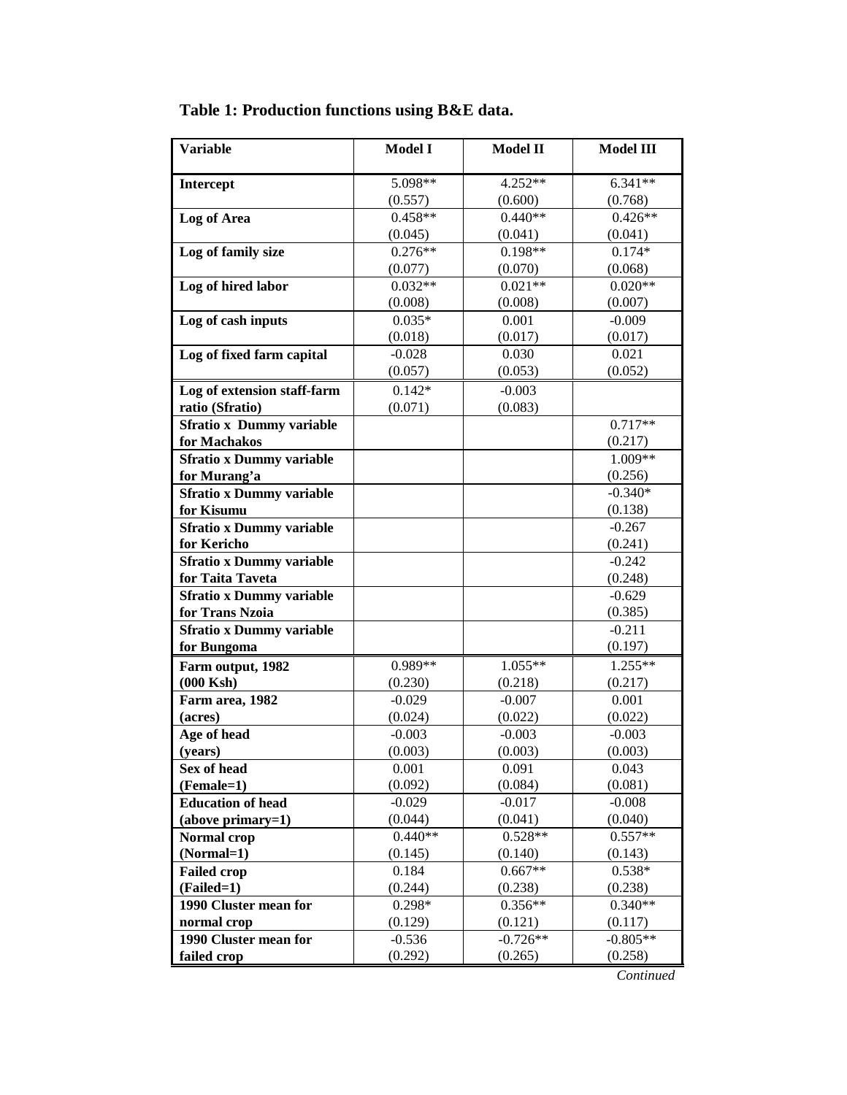| <b>Variable</b>                      | <b>Model I</b>      | <b>Model II</b>       | <b>Model III</b>      |
|--------------------------------------|---------------------|-----------------------|-----------------------|
| Intercept                            | 5.098**             | 4.252**               | $6.341**$             |
|                                      | (0.557)             | (0.600)               | (0.768)               |
| Log of Area                          | $0.458**$           | $0.440**$             | $0.426**$             |
|                                      | (0.045)             | (0.041)               | (0.041)               |
| Log of family size                   | $0.276**$           | $0.198**$             | $0.174*$              |
|                                      | (0.077)             | (0.070)               | (0.068)               |
| Log of hired labor                   | $0.032**$           | $0.021**$             | $0.020**$             |
|                                      | (0.008)             | (0.008)               | (0.007)               |
| Log of cash inputs                   | $0.035*$            | 0.001                 | $-0.009$              |
|                                      | (0.018)             | (0.017)               | (0.017)               |
| Log of fixed farm capital            | $-0.028$            | 0.030                 | 0.021                 |
|                                      | (0.057)             | (0.053)               | (0.052)               |
| Log of extension staff-farm          | $0.142*$            | $-0.003$              |                       |
| ratio (Sfratio)                      | (0.071)             | (0.083)               |                       |
| <b>Sfratio x Dummy variable</b>      |                     |                       | $0.717**$             |
| for Machakos                         |                     |                       | (0.217)               |
| <b>Sfratio x Dummy variable</b>      |                     |                       | 1.009**               |
| for Murang'a                         |                     |                       | (0.256)               |
| <b>Sfratio x Dummy variable</b>      |                     |                       | $-0.340*$             |
| for Kisumu                           |                     |                       | (0.138)               |
| <b>Sfratio x Dummy variable</b>      |                     |                       | $-0.267$              |
| for Kericho                          |                     |                       | (0.241)               |
| <b>Sfratio x Dummy variable</b>      |                     |                       | $-0.242$              |
| for Taita Taveta                     |                     |                       | (0.248)               |
| <b>Sfratio x Dummy variable</b>      |                     |                       | $-0.629$              |
| for Trans Nzoia                      |                     |                       | (0.385)               |
| <b>Sfratio x Dummy variable</b>      |                     |                       | $-0.211$              |
| for Bungoma                          |                     |                       | (0.197)               |
| Farm output, 1982                    | 0.989**             | $1.055**$             | $1.255**$             |
| $(000$ Ksh $)$                       | (0.230)             | (0.218)               | (0.217)               |
| Farm area, 1982                      | $-0.029$            | $-0.007$              | 0.001                 |
| (acres)                              | (0.024)             | (0.022)               | (0.022)               |
| Age of head                          | $-0.003$            | $-0.003$              | $-0.003$              |
| (years)                              | (0.003)             | (0.003)               | (0.003)               |
| Sex of head                          | 0.001               | 0.091                 | 0.043                 |
| (Female=1)                           | (0.092)             | (0.084)               | (0.081)               |
| <b>Education of head</b>             | $-0.029$            | $-0.017$              | $-0.008$              |
| $(above primary=1)$                  | (0.044)             | (0.041)               | (0.040)               |
| Normal crop                          | $0.440**$           | $0.528**$             | $0.557**$             |
| (Normal=1)                           | (0.145)             | (0.140)               | (0.143)               |
| <b>Failed crop</b>                   | 0.184<br>(0.244)    | $0.667**$<br>$0.538*$ |                       |
| (Failed=1)                           |                     | (0.238)<br>$0.356**$  | (0.238)               |
| 1990 Cluster mean for<br>normal crop | $0.298*$<br>(0.129) |                       | $0.340**$             |
| 1990 Cluster mean for                | $-0.536$            | (0.121)<br>$-0.726**$ | (0.117)<br>$-0.805**$ |
| failed crop                          | (0.292)             | (0.265)               | (0.258)               |
|                                      |                     |                       |                       |

# **Table 1: Production functions using B&E data.**

*Continued*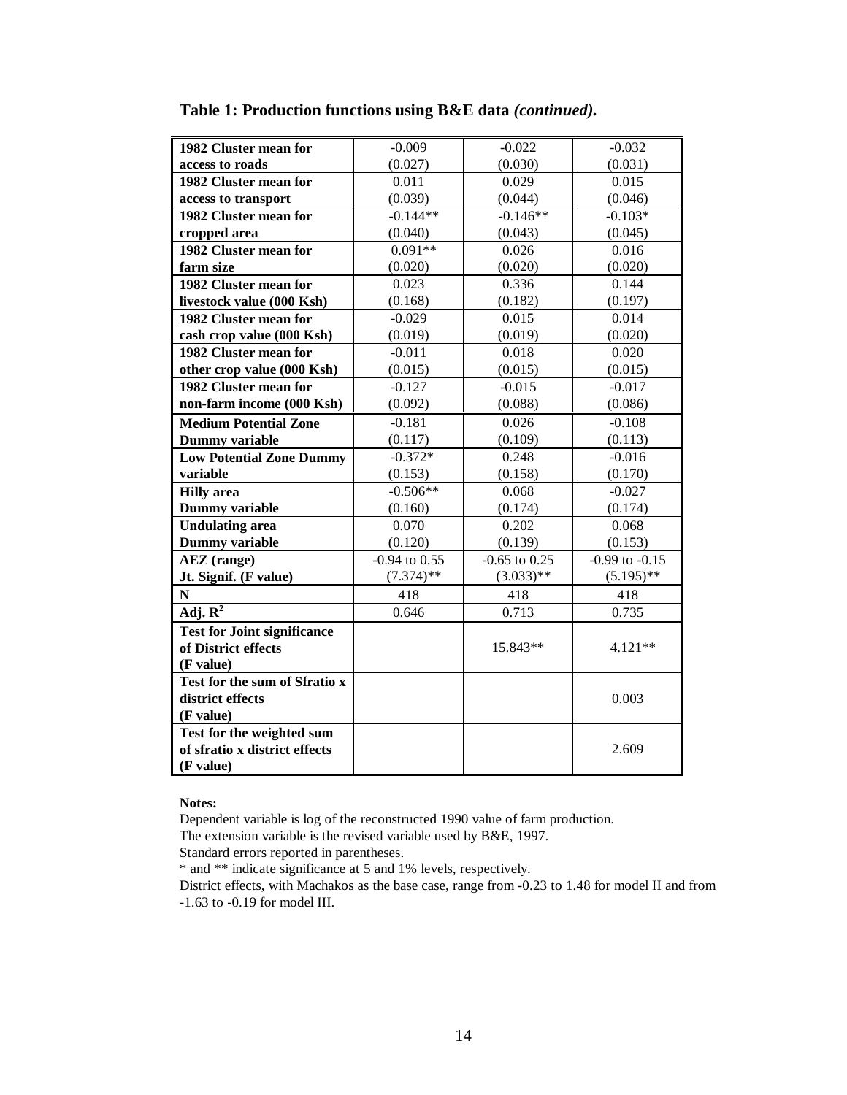| 1982 Cluster mean for              | $-0.009$          | $-0.022$                                | $-0.032$     |  |
|------------------------------------|-------------------|-----------------------------------------|--------------|--|
| access to roads                    | (0.027)           | (0.030)                                 | (0.031)      |  |
| 1982 Cluster mean for              | 0.011             | 0.029                                   | 0.015        |  |
| access to transport                | (0.039)           | (0.044)                                 | (0.046)      |  |
| 1982 Cluster mean for              | $-0.144**$        | $-0.146**$                              | $-0.103*$    |  |
| cropped area                       | (0.040)           | (0.043)                                 | (0.045)      |  |
| 1982 Cluster mean for              | $0.091**$         | 0.026                                   | 0.016        |  |
| farm size                          | (0.020)           | (0.020)                                 | (0.020)      |  |
| 1982 Cluster mean for              | 0.023             | 0.336                                   | 0.144        |  |
| livestock value (000 Ksh)          | (0.168)           | (0.182)                                 | (0.197)      |  |
| 1982 Cluster mean for              | $-0.029$          | 0.015                                   | 0.014        |  |
| cash crop value (000 Ksh)          | (0.019)           | (0.019)                                 | (0.020)      |  |
| 1982 Cluster mean for              | $-0.011$          | 0.018                                   | 0.020        |  |
| other crop value (000 Ksh)         | (0.015)           | (0.015)                                 | (0.015)      |  |
| 1982 Cluster mean for              | $-0.127$          | $-0.015$                                | $-0.017$     |  |
| non-farm income (000 Ksh)          | (0.092)           | (0.088)                                 | (0.086)      |  |
| <b>Medium Potential Zone</b>       | $-0.181$          | 0.026                                   | $-0.108$     |  |
| <b>Dummy</b> variable              | (0.117)           | (0.109)                                 | (0.113)      |  |
| <b>Low Potential Zone Dummy</b>    | $-0.372*$         | 0.248                                   | $-0.016$     |  |
| variable                           | (0.153)           | (0.158)                                 | (0.170)      |  |
| <b>Hilly</b> area                  | $-0.506**$        | 0.068                                   | $-0.027$     |  |
| <b>Dummy</b> variable              | (0.160)           | (0.174)                                 | (0.174)      |  |
| <b>Undulating area</b>             | 0.070             | 0.202                                   | 0.068        |  |
| <b>Dummy</b> variable              | (0.120)           | (0.139)                                 | (0.153)      |  |
| <b>AEZ</b> (range)                 | $-0.94$ to $0.55$ | $-0.65$ to $0.25$<br>$-0.99$ to $-0.15$ |              |  |
| Jt. Signif. (F value)              | $(7.374)$ **      | $(3.033)$ **                            | $(5.195)$ ** |  |
| ${\bf N}$                          | 418               | 418                                     | 418          |  |
| Adj. $\overline{R^2}$              | 0.646             | 0.713                                   | 0.735        |  |
| <b>Test for Joint significance</b> |                   |                                         |              |  |
| of District effects                |                   | 15.843**                                | $4.121**$    |  |
| (F value)                          |                   |                                         |              |  |
| Test for the sum of Sfratio x      |                   |                                         |              |  |
| district effects                   |                   |                                         | 0.003        |  |
| (F value)                          |                   |                                         |              |  |
| Test for the weighted sum          |                   |                                         |              |  |
| of sfratio x district effects      |                   |                                         | 2.609        |  |
| (F value)                          |                   |                                         |              |  |

**Table 1: Production functions using B&E data** *(continued).*

#### **Notes:**

Dependent variable is log of the reconstructed 1990 value of farm production.

The extension variable is the revised variable used by B&E, 1997.

Standard errors reported in parentheses.

\* and \*\* indicate significance at 5 and 1% levels, respectively.

District effects, with Machakos as the base case, range from -0.23 to 1.48 for model II and from -1.63 to -0.19 for model III.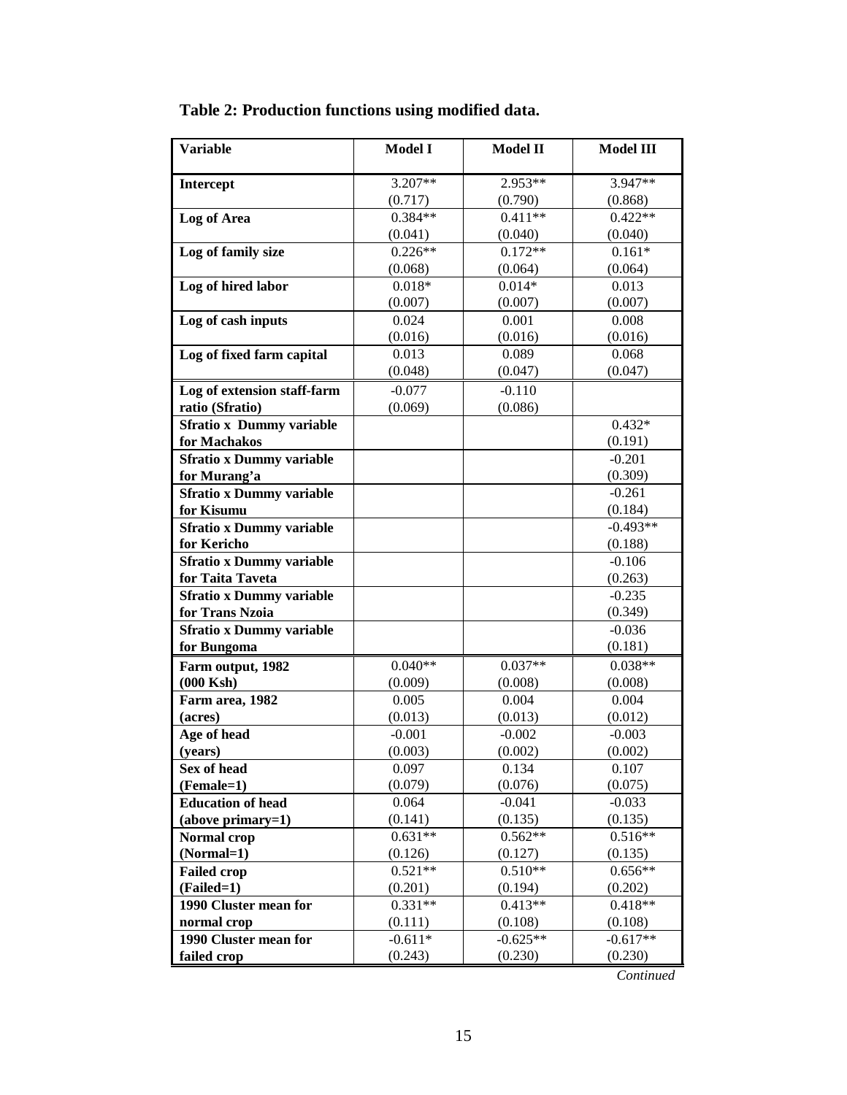| <b>Variable</b>                 | <b>Model I</b>      | <b>Model II</b>  | <b>Model III</b> |  |
|---------------------------------|---------------------|------------------|------------------|--|
| Intercept                       | 3.207**             | 2.953**          | $3.947**$        |  |
|                                 | (0.717)             | (0.790)          | (0.868)          |  |
| Log of Area                     | $0.384**$           | $0.411**$        | $0.422**$        |  |
|                                 | (0.041)             | (0.040)          | (0.040)          |  |
| Log of family size              | $0.226**$           | $0.172**$        | $0.161*$         |  |
|                                 | (0.068)             | (0.064)          | (0.064)          |  |
| Log of hired labor              | $0.018*$            | $0.014*$         | 0.013            |  |
|                                 | (0.007)             | (0.007)          | (0.007)          |  |
| Log of cash inputs              | 0.024               | 0.001            | 0.008            |  |
|                                 | (0.016)             | (0.016)          | (0.016)          |  |
| Log of fixed farm capital       | 0.013               | 0.089            | 0.068            |  |
|                                 | (0.048)             | (0.047)          | (0.047)          |  |
| Log of extension staff-farm     | $-0.077$            | $-0.110$         |                  |  |
| ratio (Sfratio)                 | (0.069)             | (0.086)          |                  |  |
| <b>Sfratio x Dummy variable</b> |                     |                  | $0.432*$         |  |
| for Machakos                    |                     |                  | (0.191)          |  |
| <b>Sfratio x Dummy variable</b> |                     |                  | $-0.201$         |  |
| for Murang'a                    |                     |                  | (0.309)          |  |
| <b>Sfratio x Dummy variable</b> |                     |                  | $-0.261$         |  |
| for Kisumu                      |                     |                  | (0.184)          |  |
| <b>Sfratio x Dummy variable</b> |                     |                  | $-0.493**$       |  |
| for Kericho                     |                     |                  | (0.188)          |  |
| <b>Sfratio x Dummy variable</b> |                     |                  | $-0.106$         |  |
| for Taita Taveta                |                     |                  | (0.263)          |  |
| <b>Sfratio x Dummy variable</b> |                     |                  | $-0.235$         |  |
| for Trans Nzoia                 |                     |                  | (0.349)          |  |
| <b>Sfratio x Dummy variable</b> |                     |                  | $-0.036$         |  |
| for Bungoma                     |                     |                  | (0.181)          |  |
| Farm output, 1982               | $0.040**$           | $0.037**$        | $0.038**$        |  |
| $(000$ Ksh $)$                  | (0.009)             | (0.008)          | (0.008)          |  |
| Farm area, 1982                 | 0.005               | 0.004            | 0.004            |  |
| (acres)                         | (0.013)             | (0.013)          | (0.012)          |  |
| Age of head                     | $-0.001$<br>(0.003) | $-0.002$         | $-0.003$         |  |
| (years)                         | 0.097               | (0.002)<br>0.134 | (0.002)<br>0.107 |  |
| Sex of head<br>(Female=1)       | (0.079)             | (0.076)          | (0.075)          |  |
| <b>Education of head</b>        | 0.064               | $-0.041$         | $-0.033$         |  |
| (above primary=1)               | (0.141)             | (0.135)          | (0.135)          |  |
| <b>Normal</b> crop              | $0.631**$           | $0.562**$        | $0.516**$        |  |
| (Normal=1)                      | (0.126)             | (0.127)          | (0.135)          |  |
| <b>Failed crop</b>              | $0.521**$           | $0.510**$        | $0.656**$        |  |
| (Failed=1)                      | (0.201)             | (0.194)          | (0.202)          |  |
| 1990 Cluster mean for           | $0.331**$           | $0.413**$        | $0.418**$        |  |
| normal crop                     | (0.111)             | (0.108)          | (0.108)          |  |
| 1990 Cluster mean for           | $-0.611*$           | $-0.625**$       | $-0.617**$       |  |
| failed crop                     | (0.243)             | (0.230)          | (0.230)          |  |
|                                 |                     |                  |                  |  |

| Table 2: Production functions using modified data. |  |  |
|----------------------------------------------------|--|--|
|                                                    |  |  |

*Continued*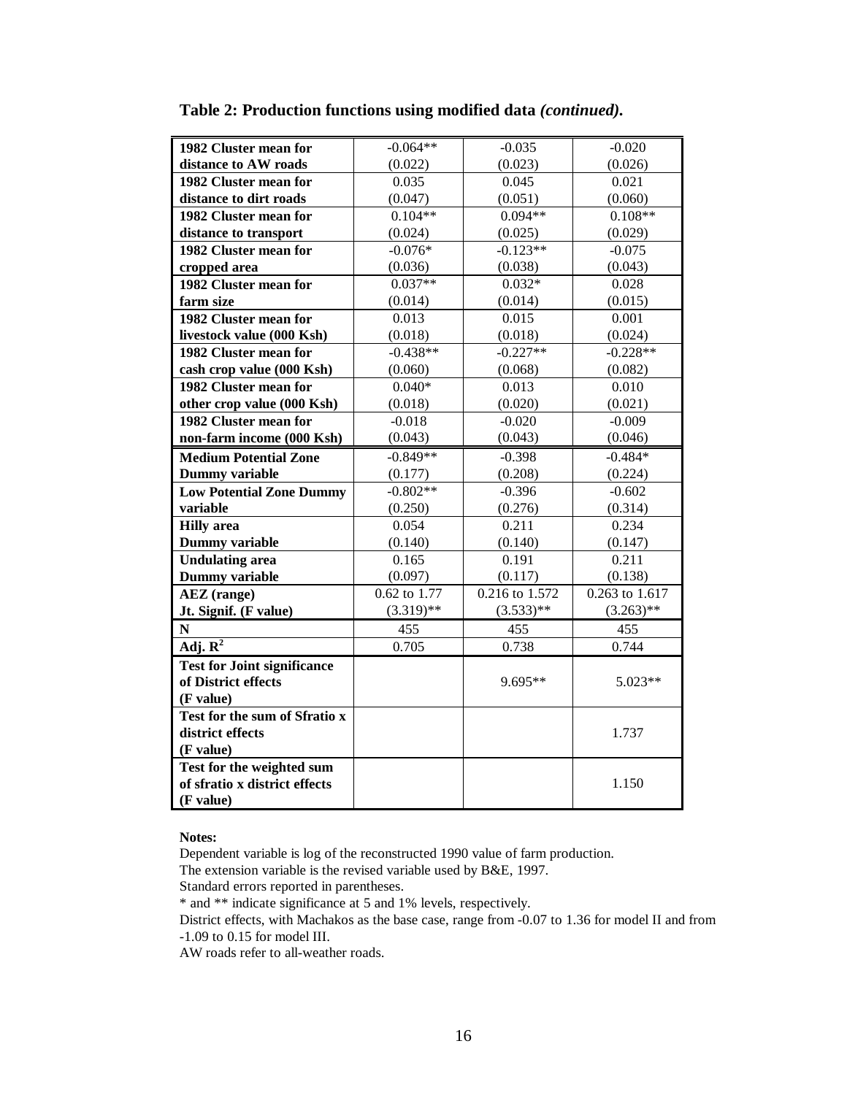| 1982 Cluster mean for              | $-0.064**$   | $-0.035$       | $-0.020$       |  |
|------------------------------------|--------------|----------------|----------------|--|
| distance to AW roads               | (0.022)      | (0.023)        | (0.026)        |  |
| 1982 Cluster mean for              | 0.035        | 0.045          | 0.021          |  |
| distance to dirt roads             | (0.047)      | (0.051)        | (0.060)        |  |
| 1982 Cluster mean for              | $0.104**$    | $0.094**$      | $0.108**$      |  |
| distance to transport              | (0.024)      | (0.025)        | (0.029)        |  |
| 1982 Cluster mean for              | $-0.076*$    | $-0.123**$     | $-0.075$       |  |
| cropped area                       | (0.036)      | (0.038)        | (0.043)        |  |
| 1982 Cluster mean for              | $0.037**$    | $0.032*$       | 0.028          |  |
| farm size                          | (0.014)      | (0.014)        | (0.015)        |  |
| 1982 Cluster mean for              | 0.013        | 0.015          | 0.001          |  |
| livestock value (000 Ksh)          | (0.018)      | (0.018)        | (0.024)        |  |
| 1982 Cluster mean for              | $-0.438**$   | $-0.227**$     | $-0.228**$     |  |
| cash crop value (000 Ksh)          | (0.060)      | (0.068)        | (0.082)        |  |
| 1982 Cluster mean for              | $0.040*$     | 0.013          | 0.010          |  |
| other crop value (000 Ksh)         | (0.018)      | (0.020)        | (0.021)        |  |
| 1982 Cluster mean for              | $-0.018$     | $-0.020$       | $-0.009$       |  |
| non-farm income (000 Ksh)          | (0.043)      | (0.043)        | (0.046)        |  |
| <b>Medium Potential Zone</b>       | $-0.849**$   | $-0.398$       | $-0.484*$      |  |
| <b>Dummy variable</b>              | (0.177)      | (0.208)        | (0.224)        |  |
| <b>Low Potential Zone Dummy</b>    | $-0.802**$   | $-0.396$       | $-0.602$       |  |
| variable                           | (0.250)      | (0.276)        | (0.314)        |  |
| <b>Hilly</b> area                  | 0.054        | 0.211          | 0.234          |  |
| <b>Dummy variable</b>              | (0.140)      | (0.140)        | (0.147)        |  |
| <b>Undulating area</b>             | 0.165        | 0.191          | 0.211          |  |
| <b>Dummy</b> variable              | (0.097)      | (0.117)        | (0.138)        |  |
| <b>AEZ</b> (range)                 | 0.62 to 1.77 | 0.216 to 1.572 | 0.263 to 1.617 |  |
| Jt. Signif. (F value)              | $(3.319)$ ** | $(3.533)**$    | $(3.263)$ **   |  |
| $\mathbf N$                        | 455          | 455            | 455            |  |
| Adj. $\overline{\mathbf{R}^2}$     | 0.705        | 0.738          | 0.744          |  |
| <b>Test for Joint significance</b> |              |                |                |  |
| of District effects                |              | 9.695**        | 5.023**        |  |
| (F value)                          |              |                |                |  |
| Test for the sum of Sfratio x      |              |                |                |  |
| district effects                   |              |                | 1.737          |  |
| (F value)                          |              |                |                |  |
| Test for the weighted sum          |              |                |                |  |
| of sfratio x district effects      |              |                | 1.150          |  |
| (F value)                          |              |                |                |  |

**Table 2: Production functions using modified data** *(continued).*

**Notes:**

Dependent variable is log of the reconstructed 1990 value of farm production.

The extension variable is the revised variable used by B&E, 1997.

Standard errors reported in parentheses.

\* and \*\* indicate significance at 5 and 1% levels, respectively.

District effects, with Machakos as the base case, range from -0.07 to 1.36 for model II and from -1.09 to 0.15 for model III.

AW roads refer to all-weather roads.